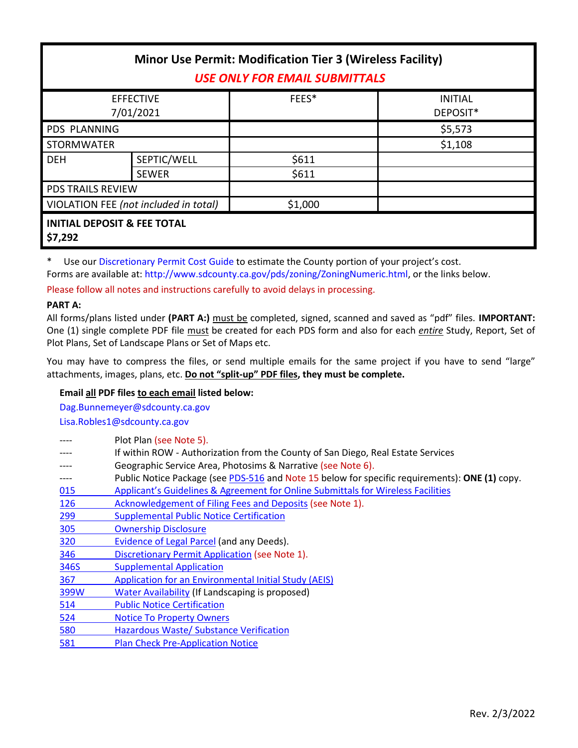| <b>Minor Use Permit: Modification Tier 3 (Wireless Facility)</b><br><b>USE ONLY FOR EMAIL SUBMITTALS</b> |                                        |                |                            |  |
|----------------------------------------------------------------------------------------------------------|----------------------------------------|----------------|----------------------------|--|
| <b>EFFECTIVE</b><br>7/01/2021                                                                            |                                        | FEES*          | <b>INITIAL</b><br>DEPOSIT* |  |
| <b>PDS PLANNING</b>                                                                                      |                                        |                | \$5,573                    |  |
| <b>STORMWATER</b>                                                                                        |                                        |                | \$1,108                    |  |
| <b>DEH</b>                                                                                               | SEPTIC/WELL<br><b>SEWER</b>            | \$611<br>\$611 |                            |  |
| <b>PDS TRAILS REVIEW</b>                                                                                 |                                        |                |                            |  |
| VIOLATION FEE (not included in total)                                                                    |                                        | \$1,000        |                            |  |
| \$7,292                                                                                                  | <b>INITIAL DEPOSIT &amp; FEE TOTAL</b> |                |                            |  |

\* Use ou[r Discretionary Permit Cost Guide](http://www.sandiegocounty.gov/content/dam/sdc/pds/docs/Discretionary_Permit_Cost_Guide.xlsx) to estimate the County portion of your project's cost. Forms are available at: [http://www.sdcounty.ca.gov/pds/zoning/ZoningNumeric.html,](http://www.sdcounty.ca.gov/pds/zoning/ZoningNumeric.html) or the links below.

Please follow all notes and instructions carefully to avoid delays in processing.

## **PART A:**

All forms/plans listed under **(PART A:)** must be completed, signed, scanned and saved as "pdf" files. **IMPORTANT:** One (1) single complete PDF file must be created for each PDS form and also for each *entire* Study, Report, Set of Plot Plans, Set of Landscape Plans or Set of Maps etc.

You may have to compress the files, or send multiple emails for the same project if you have to send "large" attachments, images, plans, etc. **Do not "split-up" PDF files, they must be complete.**

# **Email all PDF files to each email listed below:**

[Dag.Bunnemeyer@sdcounty.ca.gov](mailto:Dag.Bunnemeyer@sdcounty.ca.gov) [Lisa.Robles1@sdcounty.ca.gov](mailto:Lisa.Robles1@sdcounty.ca.gov)

|            | Plot Plan (see Note 5).                                                                        |  |  |
|------------|------------------------------------------------------------------------------------------------|--|--|
|            | If within ROW - Authorization from the County of San Diego, Real Estate Services               |  |  |
|            | Geographic Service Area, Photosims & Narrative (see Note 6).                                   |  |  |
| ----       | Public Notice Package (see PDS-516 and Note 15 below for specific requirements): ONE (1) copy. |  |  |
| 015        | Applicant's Guidelines & Agreement for Online Submittals for Wireless Facilities               |  |  |
| 126        | Acknowledgement of Filing Fees and Deposits (see Note 1).                                      |  |  |
| 299        | <b>Supplemental Public Notice Certification</b>                                                |  |  |
| <b>305</b> | <b>Ownership Disclosure</b>                                                                    |  |  |
| 320        | Evidence of Legal Parcel (and any Deeds).                                                      |  |  |
| 346        | Discretionary Permit Application (see Note 1).                                                 |  |  |
| 346S       | <b>Supplemental Application</b>                                                                |  |  |
| 367        | Application for an Environmental Initial Study (AEIS)                                          |  |  |
| 399W       | Water Availability (If Landscaping is proposed)                                                |  |  |
| 514        | <b>Public Notice Certification</b>                                                             |  |  |
| 524        | <b>Notice To Property Owners</b>                                                               |  |  |
| 580        | Hazardous Waste/ Substance Verification                                                        |  |  |
| 581        | <b>Plan Check Pre-Application Notice</b>                                                       |  |  |
|            |                                                                                                |  |  |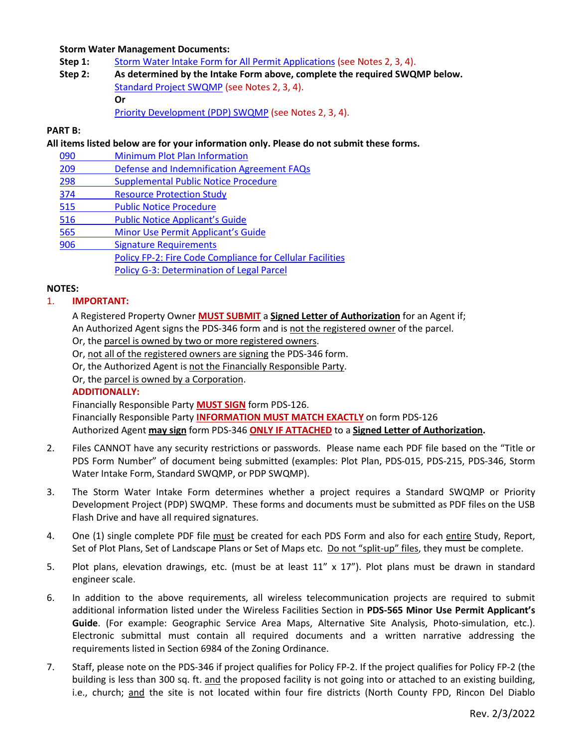## **Storm Water Management Documents:**

- **Step 1:** [Storm Water Intake Form for All Permit Applications](http://www.sandiegocounty.gov/content/dam/sdc/pds/zoning/formfields/SWQMP-Intake-Form.pdf) (see Notes 2, 3, 4).
- **Step 2: As determined by the Intake Form above, complete the required SWQMP below.** [Standard Project SWQMP](http://www.sandiegocounty.gov/content/dam/sdc/pds/zoning/formfields/SWQMP-Standard.pdf) (see Notes 2, 3, 4). **Or** [Priority Development \(PDP\) SWQMP](https://www.sandiegocounty.gov/content/sdc/dpw/watersheds/DevelopmentandConstruction/BMP_Design_Manual.html) (see Notes 2, 3, 4).

### **PART B:**

**All items listed below are for your information only. Please do not submit these forms.**

- 090 [Minimum Plot Plan Information](http://www.sdcounty.ca.gov/pds/docs/pds090.pdf)
- 209 [Defense and Indemnification Agreement FAQs](http://www.sdcounty.ca.gov/pds/zoning/formfields/PDS-PLN-209.pdf)
- 298 [Supplemental Public Notice Procedure](http://www.sdcounty.ca.gov/pds/zoning/formfields/PDS-PLN-298.pdf)
- [374 Resource Protection Study](http://www.sdcounty.ca.gov/pds/zoning/formfields/PDS-PLN-374.pdf)
- [515 Public Notice Procedure](http://www.sdcounty.ca.gov/pds/zoning/formfields/PDS-PLN-515.pdf)
- [516 Public Notice Applicant's Guide](http://www.sdcounty.ca.gov/pds/zoning/formfields/PDS-PLN-516.pdf)
- 565 [Minor Use Permit Applicant's Guide](http://www.sdcounty.ca.gov/pds/zoning/formfields/PDS-PLN-565.pdf)
- [906 Signature Requirements](http://www.sdcounty.ca.gov/pds/zoning/formfields/PDS-PLN-906.pdf) 
	- [Policy FP-2: Fire Code Compliance for Cellular](http://www.sdcounty.ca.gov/pds/zoning/formfields/POLICY-FP-2-2015.pdf) Facilities
		- [Policy G-3: Determination of Legal Parcel](http://www.sdcounty.ca.gov/pds/zoning/formfields/POLICY-G-3.pdf)

## **NOTES:**

## 1. **IMPORTANT:**

A Registered Property Owner **MUST SUBMIT** a **Signed Letter of Authorization** for an Agent if;

An Authorized Agent signs the PDS-346 form and is not the registered owner of the parcel.

- Or, the parcel is owned by two or more registered owners.
- Or, not all of the registered owners are signing the PDS-346 form.
- Or, the Authorized Agent is not the Financially Responsible Party.

Or, the parcel is owned by a Corporation.

## **ADDITIONALLY:**

Financially Responsible Party **MUST SIGN** form PDS-126.

Financially Responsible Party **INFORMATION MUST MATCH EXACTLY** on form PDS-126 Authorized Agent **may sign** form PDS-346 **ONLY IF ATTACHED** to a **Signed Letter of Authorization.**

- 2. Files CANNOT have any security restrictions or passwords. Please name each PDF file based on the "Title or PDS Form Number" of document being submitted (examples: Plot Plan, PDS-015, PDS-215, PDS-346, Storm Water Intake Form, Standard SWQMP, or PDP SWQMP).
- 3. The Storm Water Intake Form determines whether a project requires a Standard SWQMP or Priority Development Project (PDP) SWQMP. These forms and documents must be submitted as PDF files on the USB Flash Drive and have all required signatures.
- 4. One (1) single complete PDF file must be created for each PDS Form and also for each entire Study, Report, Set of Plot Plans, Set of Landscape Plans or Set of Maps etc. Do not "split-up" files, they must be complete.
- 5. Plot plans, elevation drawings, etc. (must be at least 11" x 17"). Plot plans must be drawn in standard engineer scale.
- 6. In addition to the above requirements, all wireless telecommunication projects are required to submit additional information listed under the Wireless Facilities Section in **PDS-565 Minor Use Permit Applicant's Guide**. (For example: Geographic Service Area Maps, Alternative Site Analysis, Photo-simulation, etc.). Electronic submittal must contain all required documents and a written narrative addressing the requirements listed in Section 6984 of the Zoning Ordinance.
- 7. Staff, please note on the PDS-346 if project qualifies for Policy FP-2. If the project qualifies for Policy FP-2 (the building is less than 300 sq. ft. and the proposed facility is not going into or attached to an existing building, i.e., church; and the site is not located within four fire districts (North County FPD, Rincon Del Diablo